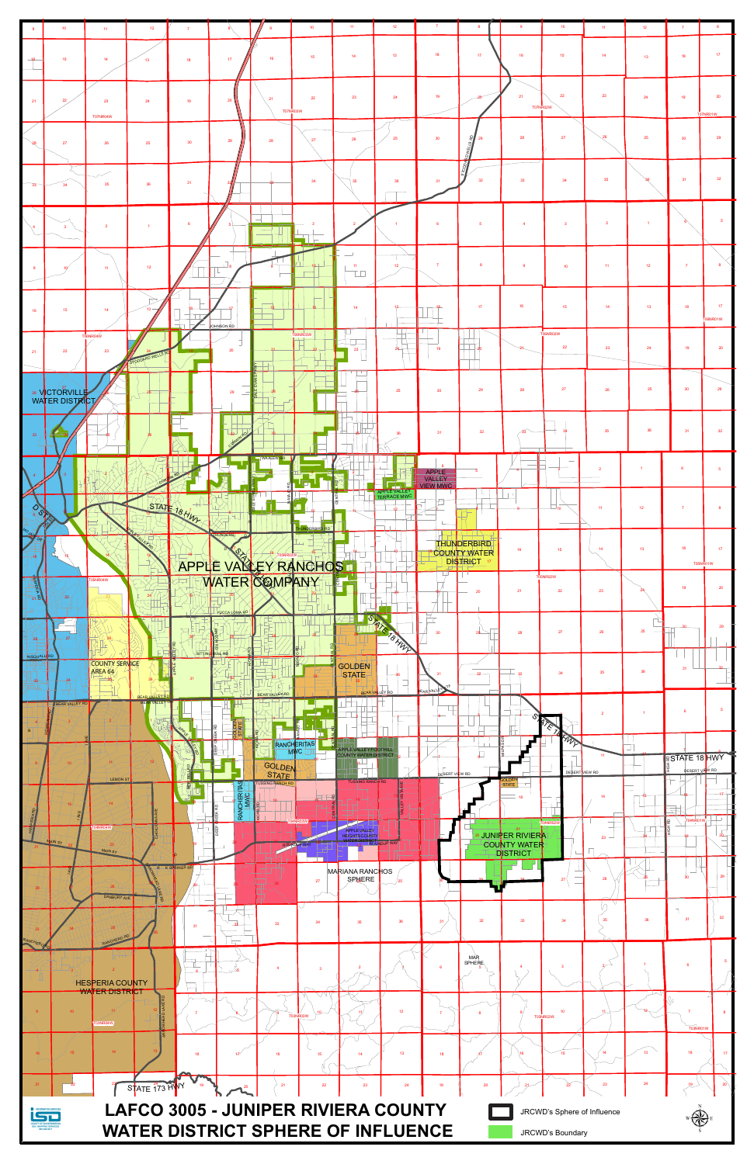| $\overline{9}$  | $101$                           | $11^{\circ}$                     | 12 <sub>12</sub>        | $\overline{7}$  |                       | -9                             | $101$                | $-11$                                          | 12 <sup>°</sup>             | $\overline{7}$                  | 8                                  | 9                                                                                                      | 10 <sub>10</sub>             | 11 <sub>1</sub> | 12 <sup>7</sup> | $\overline{7}$                         |                 |
|-----------------|---------------------------------|----------------------------------|-------------------------|-----------------|-----------------------|--------------------------------|----------------------|------------------------------------------------|-----------------------------|---------------------------------|------------------------------------|--------------------------------------------------------------------------------------------------------|------------------------------|-----------------|-----------------|----------------------------------------|-----------------|
|                 |                                 |                                  |                         |                 |                       |                                |                      |                                                |                             |                                 |                                    |                                                                                                        |                              |                 |                 |                                        |                 |
|                 | 15                              | 14                               | 13 <sup>°</sup>         | 18              | $172$                 | $16\,$                         | $15\,$               | 14                                             | 13                          | 18                              | 17                                 | 16                                                                                                     | 15                           | 14 <sup>°</sup> | 13              | 18                                     | 17 <sub>2</sub> |
| 21              | 22                              | 23                               | 24                      | 19              | 20                    | 21                             | 22<br>T07NR03W       | 23                                             | 24                          | 19                              |                                    | 21                                                                                                     | 22<br><b>T07NR02W</b>        | 23              | 24              | 19                                     | 20<br>T07NR01W  |
| $\sqrt{28}$     | 27                              | <b>T07NR04W</b><br>26            | 25                      | 30 <sup>°</sup> | 29                    | 28                             | 27                   | 26                                             | 25                          | 30                              | <b>REAR RD</b><br>29               | 28                                                                                                     | 27                           | $\sqrt{26}$     | 25              | 30 <sup>°</sup>                        | 29              |
| $\frac{33}{3}$  | 34                              | 35                               | $36\,$                  | 31              |                       |                                | 34                   |                                                | 36                          | 31                              | $\frac{3}{2}$<br>32 <sup>°</sup>   | 33                                                                                                     | 34                           | 35              |                 | 31                                     | 32              |
|                 |                                 | $\overline{2}$                   |                         | 6 <sup>1</sup>  |                       |                                |                      |                                                | $\mathbf{1}$                | 6                               | $-5$                               | $\overline{4}$                                                                                         | $\overline{\mathbf{3}}$      | $\overline{2}$  | $\mathbf{1}$    |                                        |                 |
|                 |                                 | 11                               | $12\,$                  |                 | $\Box$                |                                |                      | $\overline{\phantom{0}}$<br>11<br>TП           | $12\,$                      | $\overline{7}$                  |                                    | $\overline{9}$                                                                                         | 10 <sub>1</sub>              | 11              | $12\,$          | $\overline{7}$                         |                 |
| 16              | $15\,$                          | 14                               | $13 -$                  |                 |                       |                                |                      | 14                                             |                             |                                 | 17                                 | 16                                                                                                     | $15\,$                       | 14 <sub>1</sub> | $13$            | 18                                     | 17              |
| 21              | 22                              | T06NR04W<br>23                   |                         |                 | OHNSON RD<br>20       |                                | TO6NR03W             | $\overline{\phantom{a}}$<br>$23 -$             | $24 -$                      | 19                              | $\overline{\phantom{a}}$ 20        |                                                                                                        | T06NR02W<br>22               | 23              | 24              | 19                                     | T06NR01W<br>20  |
|                 | 28 VCTORVILLE<br>WATER DISTRICT |                                  | STODDARD WELLS          |                 | 29                    | Ē                              |                      |                                                | 25                          | 30 <sup>°</sup>                 | $\mathbf{1}$<br>29                 | 28                                                                                                     | ${\bf 27}$                   | ${\bf 26}$      | 25              | 30                                     | 29              |
| 33              |                                 |                                  |                         |                 | 32<br><b>QO</b><br>M, |                                |                      |                                                | 36                          | 31                              | 32                                 | 33                                                                                                     |                              | 35              | 36              | 31                                     | 32 <sub>2</sub> |
|                 |                                 |                                  |                         |                 |                       |                                |                      |                                                |                             | $\mathbf{g}$<br>APPLE<br>VALLEY |                                    |                                                                                                        |                              |                 |                 |                                        |                 |
|                 |                                 |                                  |                         | STATE 18 HW     |                       |                                |                      |                                                | APPLE VALLEY<br>TERRACE MWC | <b>VIEW MWC</b>                 |                                    |                                                                                                        |                              | 11              | 12 <sub>1</sub> |                                        |                 |
|                 |                                 |                                  |                         |                 | <b>THUNDERBI</b>      |                                | <b>HUNDERBIRD RD</b> |                                                |                             |                                 | <b>THUNDERBIRD</b><br>COUNTY WATER | 16                                                                                                     | 15                           | 14              | 13 <sup>°</sup> | 18<br>T05NR01W                         |                 |
| $\frac{1}{218}$ | 22                              | 05NR04W                          |                         |                 |                       | APPLE VALLEY RANCHOS           |                      |                                                |                             |                                 |                                    | 21                                                                                                     | <b>T05NR02W</b><br>22        | 23              |                 | 19                                     | 20              |
| -- 28           | 27                              |                                  |                         |                 | YUCCA LOMA RD         |                                |                      |                                                | SATE TOWN                   |                                 | 29                                 | 28                                                                                                     | 27                           | 26              | 25              |                                        |                 |
| NISQUALL RD     | 34                              | <b>COUNTY SERVICE</b><br>AREA 64 |                         | √si⊤⊺ıng        | BULL RD               |                                |                      | <b>GOLDEN</b><br>STATE                         | BEAR VALLEY RD              | EAR VALLEY                      | $32 -$                             |                                                                                                        | 34                           | 35              | $36\,$          |                                        |                 |
|                 | <b>BEAR VALLEY RD</b>           |                                  | BEAR VALLEY RD<br>VALLE |                 | <b>BOLDE</b>          | BEAR VALLEY RD                 |                      |                                                |                             |                                 |                                    |                                                                                                        | 'E                           |                 |                 | 6                                      |                 |
|                 |                                 |                                  |                         |                 |                       | <b>GOLDEN</b>                  | RANCHERITAS          | APPLE VALLEY FOOTHILL<br>COUNTY WATER DISTRICT |                             | DESERT VIEW RD                  | $\Box$                             |                                                                                                        | <b>RAY</b><br>DESERT VIEW RD |                 |                 | <b>RSTATE 18 HWY</b><br>DESERT VIEW RD |                 |
|                 |                                 | <b>LEMON ST</b>                  |                         | 필               | RANCHERITAS           | <b>USSING RANCH RD</b><br>WARD |                      | <b>TUSSING RANCH RD</b>                        |                             |                                 |                                    | <b>STATE</b>                                                                                           |                              |                 |                 |                                        |                 |
|                 | AIN ST                          | 4NR04W.<br><b>MAIN ST</b>        | <b>S</b>                |                 |                       |                                |                      | APPLEVALLEY                                    |                             |                                 |                                    | Nadia de La Maria<br>Na COUNTY WATER<br>Na La Maria de La Maria<br>Na La Maria de La Maria de La Maria |                              | 23              |                 | T04NR01W                               |                 |